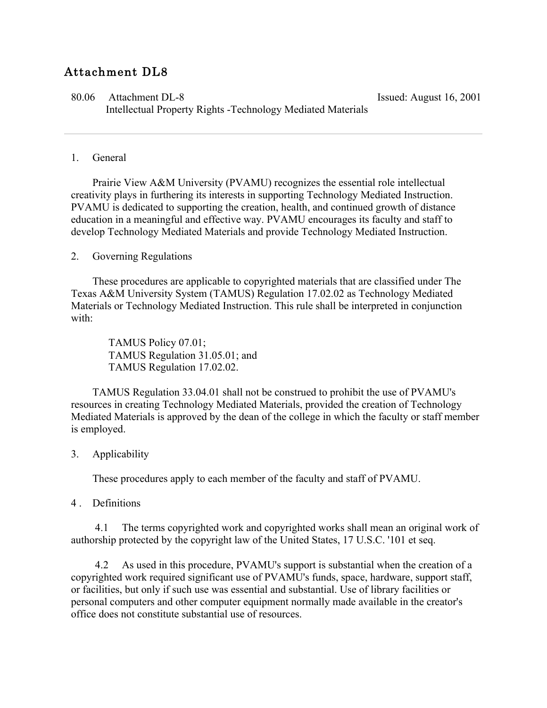## Attachment DL8

80.06 Attachment DL-8 Issued: August 16, 2001 Intellectual Property Rights -Technology Mediated Materials

## 1. General

 Prairie View A&M University (PVAMU) recognizes the essential role intellectual creativity plays in furthering its interests in supporting Technology Mediated Instruction. PVAMU is dedicated to supporting the creation, health, and continued growth of distance education in a meaningful and effective way. PVAMU encourages its faculty and staff to develop Technology Mediated Materials and provide Technology Mediated Instruction.

## 2. Governing Regulations

 These procedures are applicable to copyrighted materials that are classified under The Texas A&M University System (TAMUS) Regulation 17.02.02 as Technology Mediated Materials or Technology Mediated Instruction. This rule shall be interpreted in conjunction with:

 TAMUS Policy 07.01; TAMUS Regulation 31.05.01; and TAMUS Regulation 17.02.02.

 TAMUS Regulation 33.04.01 shall not be construed to prohibit the use of PVAMU's resources in creating Technology Mediated Materials, provided the creation of Technology Mediated Materials is approved by the dean of the college in which the faculty or staff member is employed.

## 3. Applicability

These procedures apply to each member of the faculty and staff of PVAMU.

4 Definitions

 4.1 The terms copyrighted work and copyrighted works shall mean an original work of authorship protected by the copyright law of the United States, 17 U.S.C. '101 et seq.

 4.2 As used in this procedure, PVAMU's support is substantial when the creation of a copyrighted work required significant use of PVAMU's funds, space, hardware, support staff, or facilities, but only if such use was essential and substantial. Use of library facilities or personal computers and other computer equipment normally made available in the creator's office does not constitute substantial use of resources.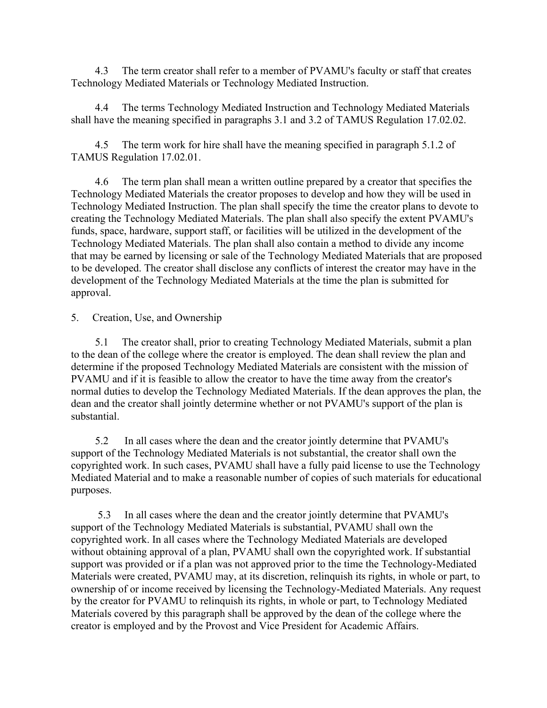4.3 The term creator shall refer to a member of PVAMU's faculty or staff that creates Technology Mediated Materials or Technology Mediated Instruction.

 4.4 The terms Technology Mediated Instruction and Technology Mediated Materials shall have the meaning specified in paragraphs 3.1 and 3.2 of TAMUS Regulation 17.02.02.

 4.5 The term work for hire shall have the meaning specified in paragraph 5.1.2 of TAMUS Regulation 17.02.01.

 4.6 The term plan shall mean a written outline prepared by a creator that specifies the Technology Mediated Materials the creator proposes to develop and how they will be used in Technology Mediated Instruction. The plan shall specify the time the creator plans to devote to creating the Technology Mediated Materials. The plan shall also specify the extent PVAMU's funds, space, hardware, support staff, or facilities will be utilized in the development of the Technology Mediated Materials. The plan shall also contain a method to divide any income that may be earned by licensing or sale of the Technology Mediated Materials that are proposed to be developed. The creator shall disclose any conflicts of interest the creator may have in the development of the Technology Mediated Materials at the time the plan is submitted for approval.

5. Creation, Use, and Ownership

 5.1 The creator shall, prior to creating Technology Mediated Materials, submit a plan to the dean of the college where the creator is employed. The dean shall review the plan and determine if the proposed Technology Mediated Materials are consistent with the mission of PVAMU and if it is feasible to allow the creator to have the time away from the creator's normal duties to develop the Technology Mediated Materials. If the dean approves the plan, the dean and the creator shall jointly determine whether or not PVAMU's support of the plan is substantial.

 5.2 In all cases where the dean and the creator jointly determine that PVAMU's support of the Technology Mediated Materials is not substantial, the creator shall own the copyrighted work. In such cases, PVAMU shall have a fully paid license to use the Technology Mediated Material and to make a reasonable number of copies of such materials for educational purposes.

 5.3 In all cases where the dean and the creator jointly determine that PVAMU's support of the Technology Mediated Materials is substantial, PVAMU shall own the copyrighted work. In all cases where the Technology Mediated Materials are developed without obtaining approval of a plan, PVAMU shall own the copyrighted work. If substantial support was provided or if a plan was not approved prior to the time the Technology-Mediated Materials were created, PVAMU may, at its discretion, relinquish its rights, in whole or part, to ownership of or income received by licensing the Technology-Mediated Materials. Any request by the creator for PVAMU to relinquish its rights, in whole or part, to Technology Mediated Materials covered by this paragraph shall be approved by the dean of the college where the creator is employed and by the Provost and Vice President for Academic Affairs.